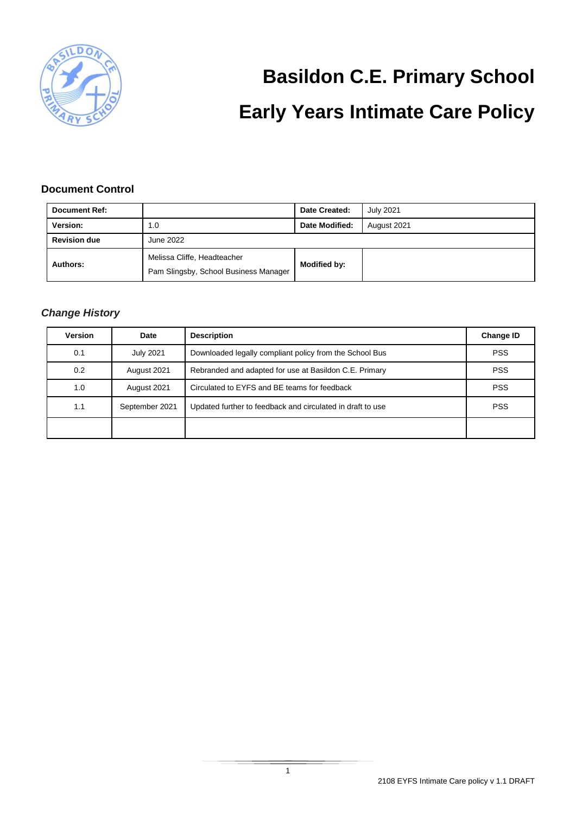

# **Basildon C.E. Primary School Early Years Intimate Care Policy**

#### **Document Control**

| <b>Document Ref:</b> |                                                                      | Date Created:  | <b>July 2021</b> |  |
|----------------------|----------------------------------------------------------------------|----------------|------------------|--|
| Version:             | 1.0                                                                  | Date Modified: | August 2021      |  |
| <b>Revision due</b>  | June 2022                                                            |                |                  |  |
| Authors:             | Melissa Cliffe, Headteacher<br>Pam Slingsby, School Business Manager | Modified by:   |                  |  |

#### *Change History*

| <b>Version</b> | Date             | <b>Description</b>                                         | <b>Change ID</b> |
|----------------|------------------|------------------------------------------------------------|------------------|
| 0.1            | <b>July 2021</b> | Downloaded legally compliant policy from the School Bus    | <b>PSS</b>       |
| 0.2            | August 2021      | Rebranded and adapted for use at Basildon C.E. Primary     | <b>PSS</b>       |
| 1.0            | August 2021      | Circulated to EYFS and BE teams for feedback               | <b>PSS</b>       |
| 1.1            | September 2021   | Updated further to feedback and circulated in draft to use | <b>PSS</b>       |
|                |                  |                                                            |                  |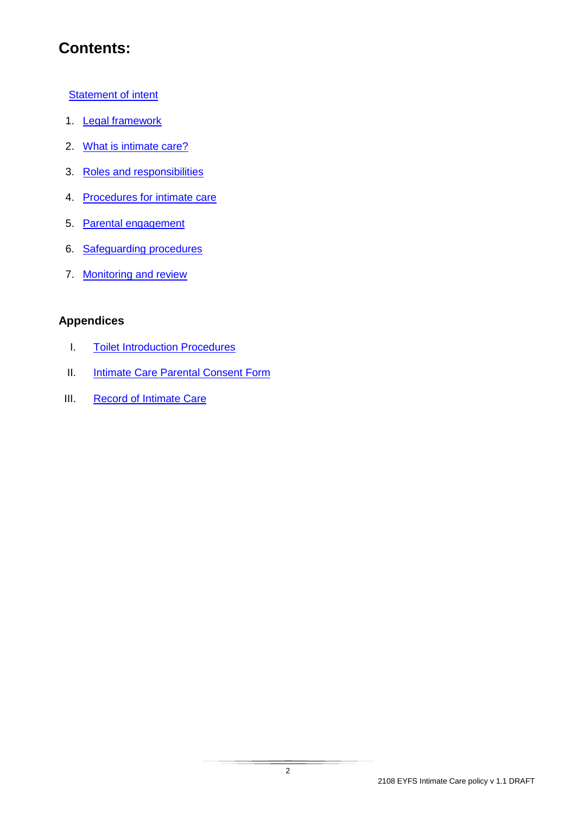# **Contents:**

**[Statement of intent](#page-2-0)** 

- 1. [Legal framework](#page-3-0)
- 2. [What is intimate care?](#page-3-1)
- 3. [Roles and responsibilities](#page-4-0)
- 4. [Procedures for intimate care](#page-4-1)
- 5. [Parental engagement](#page-5-0)
- 6. [Safeguarding procedures](#page-6-0)
- 7. [Monitoring and review](#page-6-1)

#### **Appendices**

- I. [Toilet Introduction Procedures](#page-7-0)
- II. **[Intimate Care Parental Consent Form](#page-8-0)**
- III. [Record of Intimate Care](#page-10-0)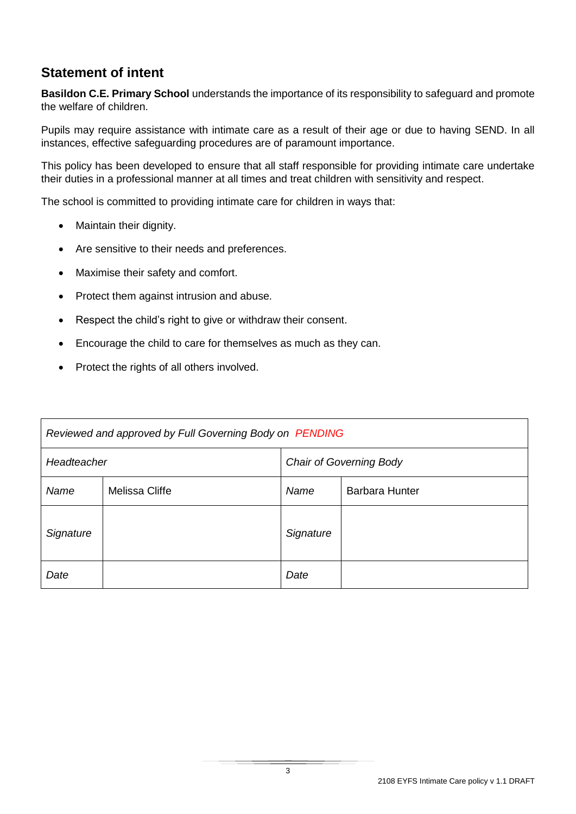#### <span id="page-2-0"></span>**Statement of intent**

**Basildon C.E. Primary School** understands the importance of its responsibility to safeguard and promote the welfare of children.

Pupils may require assistance with intimate care as a result of their age or due to having SEND. In all instances, effective safeguarding procedures are of paramount importance.

This policy has been developed to ensure that all staff responsible for providing intimate care undertake their duties in a professional manner at all times and treat children with sensitivity and respect.

The school is committed to providing intimate care for children in ways that:

- Maintain their dignity.
- Are sensitive to their needs and preferences.
- Maximise their safety and comfort.
- Protect them against intrusion and abuse.
- Respect the child's right to give or withdraw their consent.
- Encourage the child to care for themselves as much as they can.
- Protect the rights of all others involved.

| Reviewed and approved by Full Governing Body on PENDING |                |                                |  |  |  |
|---------------------------------------------------------|----------------|--------------------------------|--|--|--|
| Headteacher                                             |                | <b>Chair of Governing Body</b> |  |  |  |
| Name                                                    | Melissa Cliffe | <b>Barbara Hunter</b><br>Name  |  |  |  |
| Signature                                               |                | Signature                      |  |  |  |
| Date                                                    |                | Date                           |  |  |  |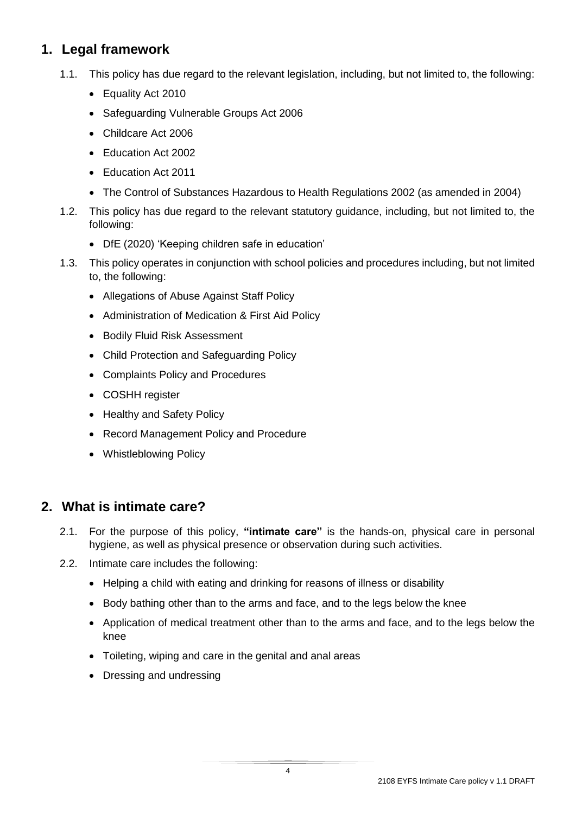#### <span id="page-3-0"></span>**1. Legal framework**

- 1.1. This policy has due regard to the relevant legislation, including, but not limited to, the following:
	- Equality Act 2010
	- Safeguarding Vulnerable Groups Act 2006
	- Childcare Act 2006
	- Education Act 2002
	- Education Act 2011
	- The Control of Substances Hazardous to Health Regulations 2002 (as amended in 2004)
- 1.2. This policy has due regard to the relevant statutory guidance, including, but not limited to, the following:
	- DfE (2020) 'Keeping children safe in education'
- 1.3. This policy operates in conjunction with school policies and procedures including, but not limited to, the following:
	- Allegations of Abuse Against Staff Policy
	- Administration of Medication & First Aid Policy
	- Bodily Fluid Risk Assessment
	- Child Protection and Safeguarding Policy
	- Complaints Policy and Procedures
	- COSHH register
	- Healthy and Safety Policy
	- Record Management Policy and Procedure
	- Whistleblowing Policy

#### <span id="page-3-1"></span>**2. What is intimate care?**

- 2.1. For the purpose of this policy, **"intimate care"** is the hands-on, physical care in personal hygiene, as well as physical presence or observation during such activities.
- 2.2. Intimate care includes the following:
	- Helping a child with eating and drinking for reasons of illness or disability
	- Body bathing other than to the arms and face, and to the legs below the knee
	- Application of medical treatment other than to the arms and face, and to the legs below the knee
	- Toileting, wiping and care in the genital and anal areas
	- Dressing and undressing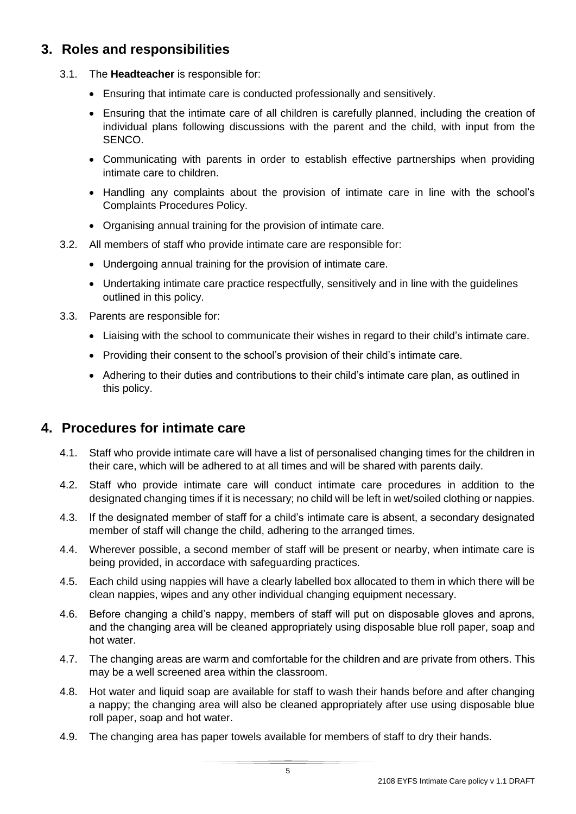#### <span id="page-4-0"></span>**3. Roles and responsibilities**

- 3.1. The **Headteacher** is responsible for:
	- Ensuring that intimate care is conducted professionally and sensitively.
	- Ensuring that the intimate care of all children is carefully planned, including the creation of individual plans following discussions with the parent and the child, with input from the SENCO.
	- Communicating with parents in order to establish effective partnerships when providing intimate care to children.
	- Handling any complaints about the provision of intimate care in line with the school's Complaints Procedures Policy.
	- Organising annual training for the provision of intimate care.
- 3.2. All members of staff who provide intimate care are responsible for:
	- Undergoing annual training for the provision of intimate care.
	- Undertaking intimate care practice respectfully, sensitively and in line with the quidelines outlined in this policy.
- 3.3. Parents are responsible for:
	- Liaising with the school to communicate their wishes in regard to their child's intimate care.
	- Providing their consent to the school's provision of their child's intimate care.
	- Adhering to their duties and contributions to their child's intimate care plan, as outlined in this policy.

#### <span id="page-4-1"></span>**4. Procedures for intimate care**

- 4.1. Staff who provide intimate care will have a list of personalised changing times for the children in their care, which will be adhered to at all times and will be shared with parents daily.
- 4.2. Staff who provide intimate care will conduct intimate care procedures in addition to the designated changing times if it is necessary; no child will be left in wet/soiled clothing or nappies.
- 4.3. If the designated member of staff for a child's intimate care is absent, a secondary designated member of staff will change the child, adhering to the arranged times.
- 4.4. Wherever possible, a second member of staff will be present or nearby, when intimate care is being provided, in accordace with safeguarding practices.
- 4.5. Each child using nappies will have a clearly labelled box allocated to them in which there will be clean nappies, wipes and any other individual changing equipment necessary.
- 4.6. Before changing a child's nappy, members of staff will put on disposable gloves and aprons, and the changing area will be cleaned appropriately using disposable blue roll paper, soap and hot water.
- 4.7. The changing areas are warm and comfortable for the children and are private from others. This may be a well screened area within the classroom.
- 4.8. Hot water and liquid soap are available for staff to wash their hands before and after changing a nappy; the changing area will also be cleaned appropriately after use using disposable blue roll paper, soap and hot water.
- 4.9. The changing area has paper towels available for members of staff to dry their hands.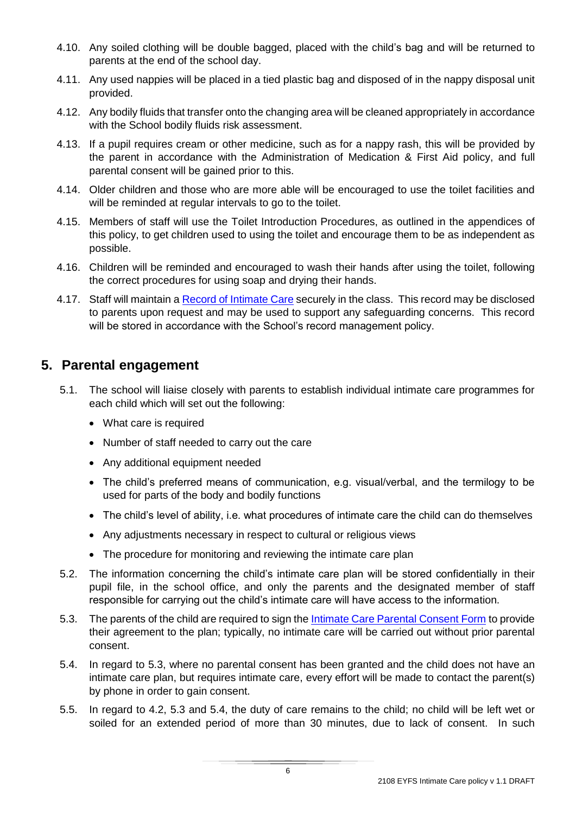- 4.10. Any soiled clothing will be double bagged, placed with the child's bag and will be returned to parents at the end of the school day.
- 4.11. Any used nappies will be placed in a tied plastic bag and disposed of in the nappy disposal unit provided.
- 4.12. Any bodily fluids that transfer onto the changing area will be cleaned appropriately in accordance with the School bodily fluids risk assessment.
- 4.13. If a pupil requires cream or other medicine, such as for a nappy rash, this will be provided by the parent in accordance with the Administration of Medication & First Aid policy, and full parental consent will be gained prior to this.
- 4.14. Older children and those who are more able will be encouraged to use the toilet facilities and will be reminded at regular intervals to go to the toilet.
- 4.15. Members of staff will use the [Toilet Introduction Procedures,](#page-9-0) as outlined in the appendices of this policy, to get children used to using the toilet and encourage them to be as independent as possible.
- 4.16. Children will be reminded and encouraged to wash their hands after using the toilet, following the correct procedures for using soap and drying their hands.
- 4.17. Staff will maintain a [Record of Intimate Care](#page-10-0) securely in the class. This record may be disclosed to parents upon request and may be used to support any safeguarding concerns. This record will be stored in accordance with the School's record management policy.

#### <span id="page-5-0"></span>**5. Parental engagement**

- 5.1. The school will liaise closely with parents to establish individual intimate care programmes for each child which will set out the following:
	- What care is required
	- Number of staff needed to carry out the care
	- Any additional equipment needed
	- The child's preferred means of communication, e.g. visual/verbal, and the termilogy to be used for parts of the body and bodily functions
	- The child's level of ability, i.e. what procedures of intimate care the child can do themselves
	- Any adjustments necessary in respect to cultural or religious views
	- The procedure for monitoring and reviewing the intimate care plan
- 5.2. The information concerning the child's intimate care plan will be stored confidentially in their pupil file, in the school office, and only the parents and the designated member of staff responsible for carrying out the child's intimate care will have access to the information.
- 5.3. The parents of the child are required to sign th[e Intimate Care Parental Consent Form](#page-7-0) to provide their agreement to the plan; typically, no intimate care will be carried out without prior parental consent.
- 5.4. In regard to 5.3, where no parental consent has been granted and the child does not have an intimate care plan, but requires intimate care, every effort will be made to contact the parent(s) by phone in order to gain consent.
- 5.5. In regard to 4.2, 5.3 and 5.4, the duty of care remains to the child; no child will be left wet or soiled for an extended period of more than 30 minutes, due to lack of consent. In such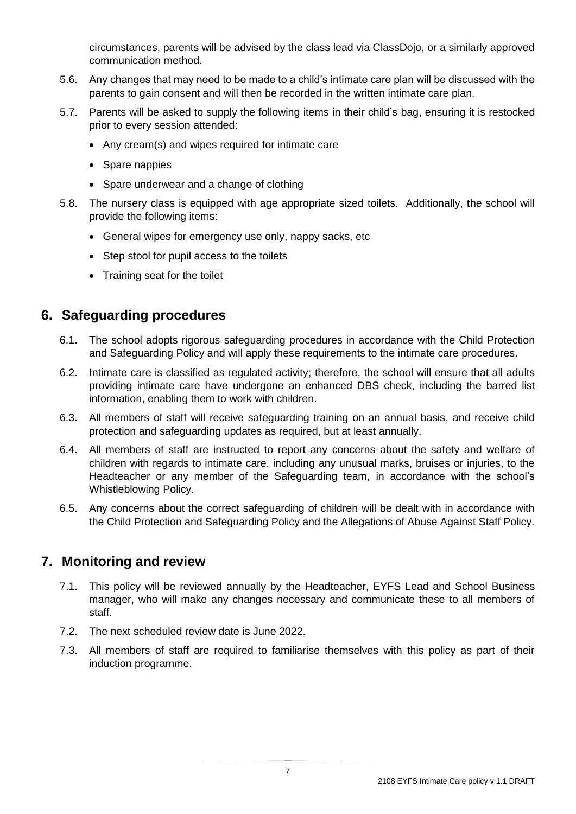circumstances, parents will be advised by the class lead via ClassDojo, or a similarly approved communication method.

- 5.6. Any changes that may need to be made to a child's intimate care plan will be discussed with the parents to gain consent and will then be recorded in the written intimate care plan.
- 5.7. Parents will be asked to supply the following items in their child's bag, ensuring it is restocked prior to every session attended:
	- Any cream(s) and wipes required for intimate care
	- Spare nappies
	- Spare underwear and a change of clothing
- 5.8. The nursery class is equipped with age appropriate sized toilets. Additionally, the school will provide the following items:
	- General wipes for emergency use only, nappy sacks, etc
	- Step stool for pupil access to the toilets
	- Training seat for the toilet

#### <span id="page-6-0"></span>**6. Safeguarding procedures**

- 6.1. The school adopts rigorous safeguarding procedures in accordance with the Child Protection and Safeguarding Policy and will apply these requirements to the intimate care procedures.
- 6.2. Intimate care is classified as regulated activity; therefore, the school will ensure that all adults providing intimate care have undergone an enhanced DBS check, including the barred list information, enabling them to work with children.
- 6.3. All members of staff will receive safeguarding training on an annual basis, and receive child protection and safeguarding updates as required, but at least annually.
- 6.4. All members of staff are instructed to report any concerns about the safety and welfare of children with regards to intimate care, including any unusual marks, bruises or injuries, to the Headteacher or any member of the Safeguarding team, in accordance with the school's Whistleblowing Policy.
- 6.5. Any concerns about the correct safeguarding of children will be dealt with in accordance with the Child Protection and Safeguarding Policy and the Allegations of Abuse Against Staff Policy.

#### <span id="page-6-1"></span>**7. Monitoring and review**

- 7.1. This policy will be reviewed annually by the Headteacher, EYFS Lead and School Business manager, who will make any changes necessary and communicate these to all members of staff.
- 7.2. The next scheduled review date is June 2022.
- 7.3. All members of staff are required to familiarise themselves with this policy as part of their induction programme.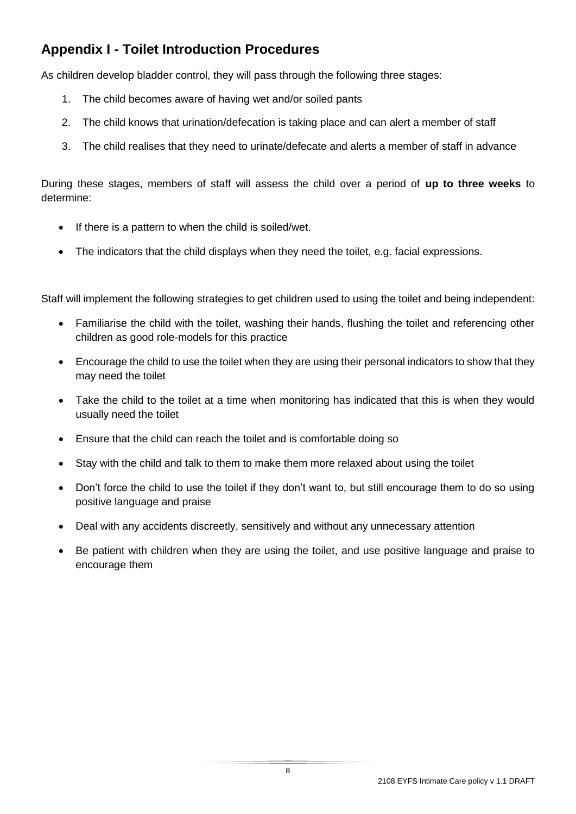## <span id="page-7-0"></span>**Appendix I - Toilet Introduction Procedures**

As children develop bladder control, they will pass through the following three stages:

- 1. The child becomes aware of having wet and/or soiled pants
- 2. The child knows that urination/defecation is taking place and can alert a member of staff
- 3. The child realises that they need to urinate/defecate and alerts a member of staff in advance

During these stages, members of staff will assess the child over a period of **up to three weeks** to determine:

- If there is a pattern to when the child is soiled/wet.
- The indicators that the child displays when they need the toilet, e.g. facial expressions.

Staff will implement the following strategies to get children used to using the toilet and being independent:

- Familiarise the child with the toilet, washing their hands, flushing the toilet and referencing other children as good role-models for this practice
- Encourage the child to use the toilet when they are using their personal indicators to show that they may need the toilet
- Take the child to the toilet at a time when monitoring has indicated that this is when they would usually need the toilet
- Ensure that the child can reach the toilet and is comfortable doing so
- Stay with the child and talk to them to make them more relaxed about using the toilet
- Don't force the child to use the toilet if they don't want to, but still encourage them to do so using positive language and praise
- Deal with any accidents discreetly, sensitively and without any unnecessary attention
- Be patient with children when they are using the toilet, and use positive language and praise to encourage them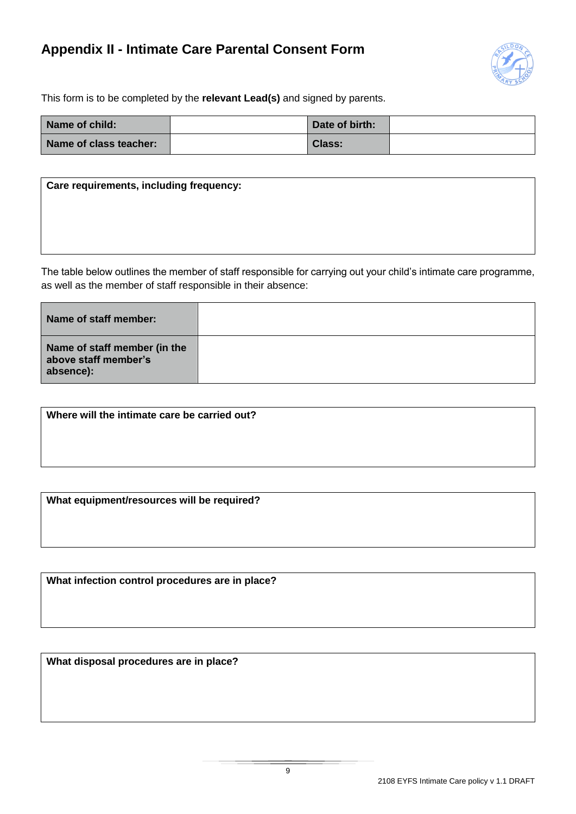#### <span id="page-8-0"></span>**Appendix II - Intimate Care Parental Consent Form**



This form is to be completed by the **relevant Lead(s)** and signed by parents.

| Name of child:         | Date of birth: |  |
|------------------------|----------------|--|
| Name of class teacher: | <b>Class:</b>  |  |

| Care requirements, including frequency: |  |  |  |  |  |
|-----------------------------------------|--|--|--|--|--|
|                                         |  |  |  |  |  |
|                                         |  |  |  |  |  |
|                                         |  |  |  |  |  |

The table below outlines the member of staff responsible for carrying out your child's intimate care programme, as well as the member of staff responsible in their absence:

| Name of staff member:                                             |  |
|-------------------------------------------------------------------|--|
| Name of staff member (in the<br>above staff member's<br>absence): |  |

**Where will the intimate care be carried out?**

**What equipment/resources will be required?**

**What infection control procedures are in place?**

**What disposal procedures are in place?**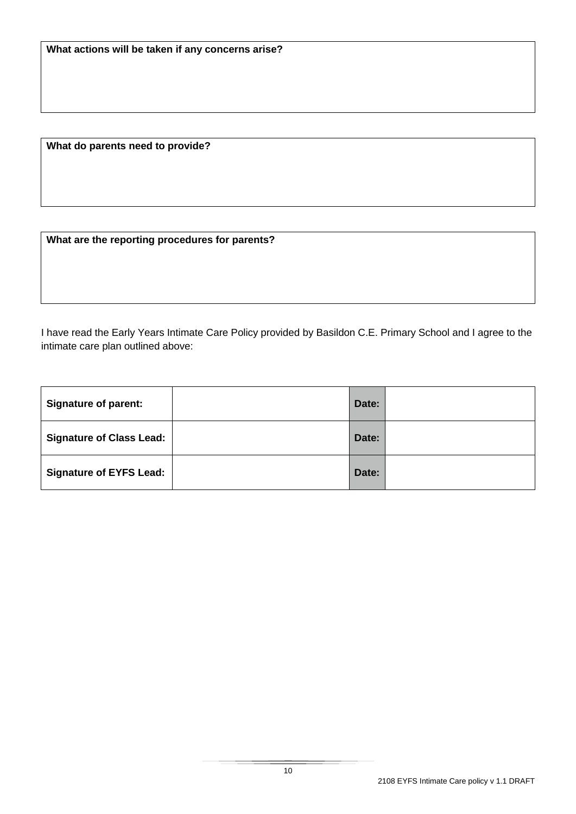**What do parents need to provide?**

**What are the reporting procedures for parents?**

I have read the Early Years Intimate Care Policy provided by Basildon C.E. Primary School and I agree to the intimate care plan outlined above:

<span id="page-9-0"></span>

| <b>Signature of parent:</b>     | Date: |
|---------------------------------|-------|
| <b>Signature of Class Lead:</b> | Date: |
| <b>Signature of EYFS Lead:</b>  | Date: |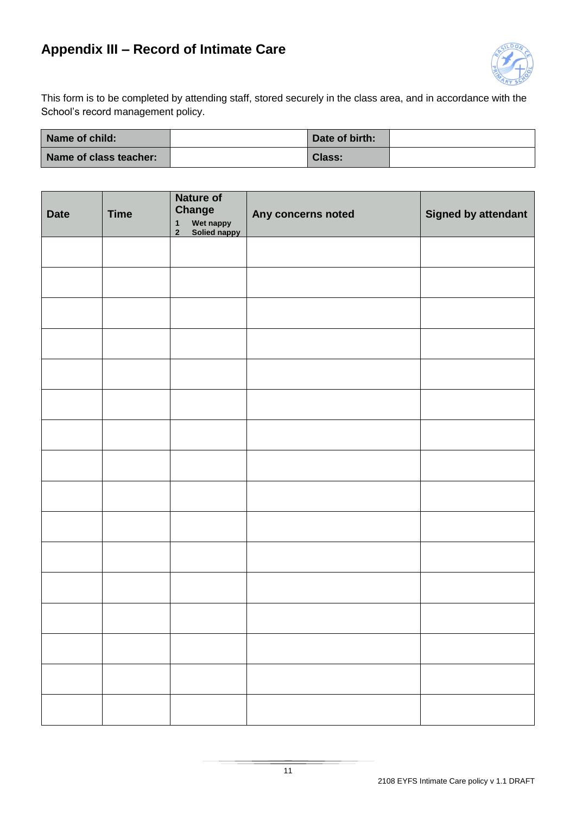## <span id="page-10-0"></span>**Appendix III – Record of Intimate Care**



This form is to be completed by attending staff, stored securely in the class area, and in accordance with the School's record management policy.

| Name of child:         | Date of birth: |  |
|------------------------|----------------|--|
| Name of class teacher: | Class:         |  |

| <b>Date</b> | <b>Time</b> | <b>Nature of</b><br><b>Change</b><br>Wet nappy<br>Solied nappy<br>$\mathbf{1}$<br>$\mathbf 2$ | Any concerns noted | <b>Signed by attendant</b> |
|-------------|-------------|-----------------------------------------------------------------------------------------------|--------------------|----------------------------|
|             |             |                                                                                               |                    |                            |
|             |             |                                                                                               |                    |                            |
|             |             |                                                                                               |                    |                            |
|             |             |                                                                                               |                    |                            |
|             |             |                                                                                               |                    |                            |
|             |             |                                                                                               |                    |                            |
|             |             |                                                                                               |                    |                            |
|             |             |                                                                                               |                    |                            |
|             |             |                                                                                               |                    |                            |
|             |             |                                                                                               |                    |                            |
|             |             |                                                                                               |                    |                            |
|             |             |                                                                                               |                    |                            |
|             |             |                                                                                               |                    |                            |
|             |             |                                                                                               |                    |                            |
|             |             |                                                                                               |                    |                            |
|             |             |                                                                                               |                    |                            |